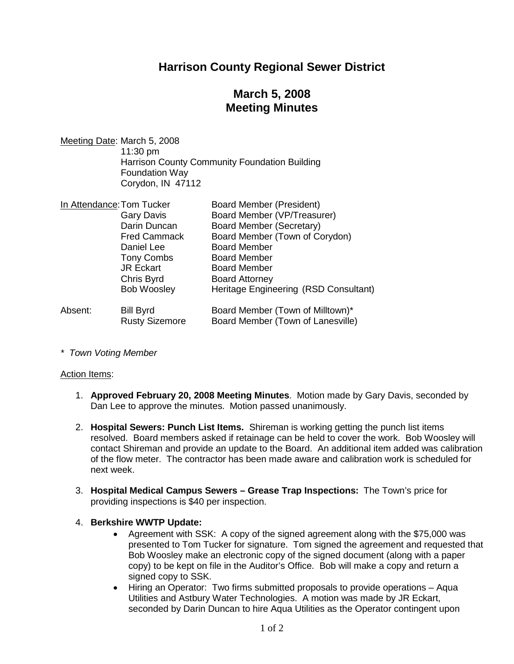# **Harrison County Regional Sewer District**

# **March 5, 2008 Meeting Minutes**

Meeting Date: March 5, 2008 11:30 pm Harrison County Community Foundation Building Foundation Way Corydon, IN 47112

| In Attendance: Tom Tucker |                       | <b>Board Member (President)</b>       |
|---------------------------|-----------------------|---------------------------------------|
|                           | <b>Gary Davis</b>     | Board Member (VP/Treasurer)           |
|                           | Darin Duncan          | Board Member (Secretary)              |
|                           | <b>Fred Cammack</b>   | Board Member (Town of Corydon)        |
|                           | Daniel Lee            | <b>Board Member</b>                   |
|                           | <b>Tony Combs</b>     | <b>Board Member</b>                   |
|                           | <b>JR Eckart</b>      | <b>Board Member</b>                   |
|                           | Chris Byrd            | <b>Board Attorney</b>                 |
|                           | <b>Bob Woosley</b>    | Heritage Engineering (RSD Consultant) |
| Absent:                   | <b>Bill Byrd</b>      | Board Member (Town of Milltown)*      |
|                           | <b>Rusty Sizemore</b> | Board Member (Town of Lanesville)     |

*\* Town Voting Member*

#### Action Items:

- 1. **Approved February 20, 2008 Meeting Minutes**. Motion made by Gary Davis, seconded by Dan Lee to approve the minutes. Motion passed unanimously.
- 2. **Hospital Sewers: Punch List Items.** Shireman is working getting the punch list items resolved. Board members asked if retainage can be held to cover the work. Bob Woosley will contact Shireman and provide an update to the Board. An additional item added was calibration of the flow meter. The contractor has been made aware and calibration work is scheduled for next week.
- 3. **Hospital Medical Campus Sewers Grease Trap Inspections:** The Town's price for providing inspections is \$40 per inspection.

### 4. **Berkshire WWTP Update:**

- Agreement with SSK: A copy of the signed agreement along with the \$75,000 was presented to Tom Tucker for signature. Tom signed the agreement and requested that Bob Woosley make an electronic copy of the signed document (along with a paper copy) to be kept on file in the Auditor's Office. Bob will make a copy and return a signed copy to SSK.
- Hiring an Operator: Two firms submitted proposals to provide operations Aqua Utilities and Astbury Water Technologies. A motion was made by JR Eckart, seconded by Darin Duncan to hire Aqua Utilities as the Operator contingent upon